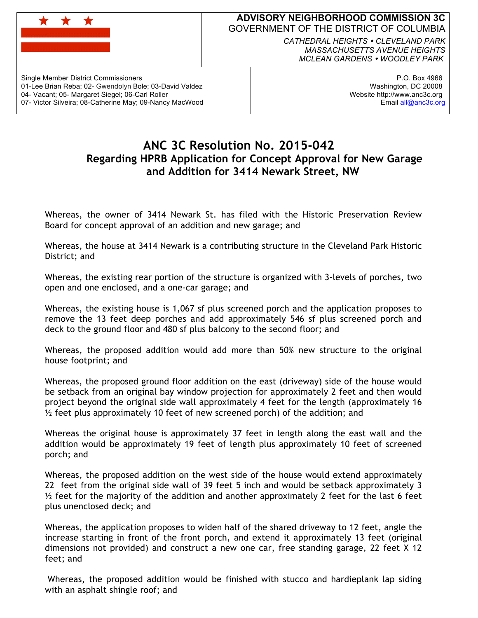

## **ADVISORY NEIGHBORHOOD COMMISSION 3C** GOVERNMENT OF THE DISTRICT OF COLUMBIA

*CATHEDRAL HEIGHTS CLEVELAND PARK MASSACHUSETTS AVENUE HEIGHTS MCLEAN GARDENS WOODLEY PARK*

Single Member District Commissioners 01-Lee Brian Reba; 02- Gwendolyn Bole; 03-David Valdez 04- Vacant; 05- Margaret Siegel; 06-Carl Roller 07- Victor Silveira; 08-Catherine May; 09-Nancy MacWood

P.O. Box 4966 Washington, DC 20008 Website http://www.anc3c.org Email all@anc3c.org

## **ANC 3C Resolution No. 2015-042 Regarding HPRB Application for Concept Approval for New Garage and Addition for 3414 Newark Street, NW**

Whereas, the owner of 3414 Newark St. has filed with the Historic Preservation Review Board for concept approval of an addition and new garage; and

Whereas, the house at 3414 Newark is a contributing structure in the Cleveland Park Historic District; and

Whereas, the existing rear portion of the structure is organized with 3-levels of porches, two open and one enclosed, and a one-car garage; and

Whereas, the existing house is 1,067 sf plus screened porch and the application proposes to remove the 13 feet deep porches and add approximately 546 sf plus screened porch and deck to the ground floor and 480 sf plus balcony to the second floor; and

Whereas, the proposed addition would add more than 50% new structure to the original house footprint; and

Whereas, the proposed ground floor addition on the east (driveway) side of the house would be setback from an original bay window projection for approximately 2 feet and then would project beyond the original side wall approximately 4 feet for the length (approximately 16  $\frac{1}{2}$  feet plus approximately 10 feet of new screened porch) of the addition; and

Whereas the original house is approximately 37 feet in length along the east wall and the addition would be approximately 19 feet of length plus approximately 10 feet of screened porch; and

Whereas, the proposed addition on the west side of the house would extend approximately 22 feet from the original side wall of 39 feet 5 inch and would be setback approximately 3  $\frac{1}{2}$  feet for the majority of the addition and another approximately 2 feet for the last 6 feet plus unenclosed deck; and

Whereas, the application proposes to widen half of the shared driveway to 12 feet, angle the increase starting in front of the front porch, and extend it approximately 13 feet (original dimensions not provided) and construct a new one car, free standing garage, 22 feet X 12 feet; and

Whereas, the proposed addition would be finished with stucco and hardieplank lap siding with an asphalt shingle roof; and